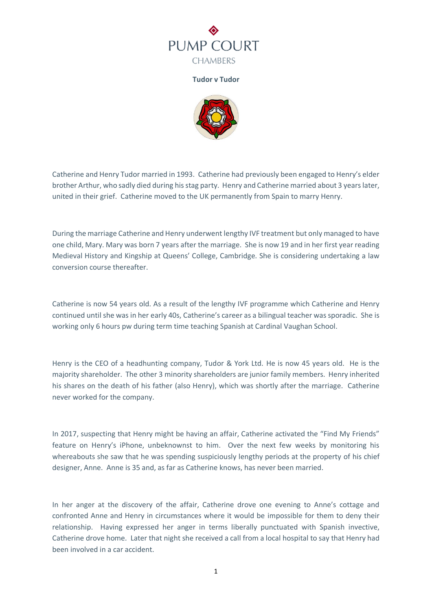

**Tudor v Tudor**



Catherine and Henry Tudor married in 1993. Catherine had previously been engaged to Henry's elder brother Arthur, who sadly died during his stag party. Henry and Catherine married about 3 years later, united in their grief. Catherine moved to the UK permanently from Spain to marry Henry.

During the marriage Catherine and Henry underwent lengthy IVF treatment but only managed to have one child, Mary. Mary was born 7 years after the marriage. She is now 19 and in her first year reading Medieval History and Kingship at Queens' College, Cambridge. She is considering undertaking a law conversion course thereafter.

Catherine is now 54 years old. As a result of the lengthy IVF programme which Catherine and Henry continued until she was in her early 40s, Catherine's career as a bilingual teacher was sporadic. She is working only 6 hours pw during term time teaching Spanish at Cardinal Vaughan School.

Henry is the CEO of a headhunting company, Tudor & York Ltd. He is now 45 years old. He is the majority shareholder. The other 3 minority shareholders are junior family members. Henry inherited his shares on the death of his father (also Henry), which was shortly after the marriage. Catherine never worked for the company.

In 2017, suspecting that Henry might be having an affair, Catherine activated the "Find My Friends" feature on Henry's iPhone, unbeknownst to him. Over the next few weeks by monitoring his whereabouts she saw that he was spending suspiciously lengthy periods at the property of his chief designer, Anne. Anne is 35 and, as far as Catherine knows, has never been married.

In her anger at the discovery of the affair, Catherine drove one evening to Anne's cottage and confronted Anne and Henry in circumstances where it would be impossible for them to deny their relationship. Having expressed her anger in terms liberally punctuated with Spanish invective, Catherine drove home. Later that night she received a call from a local hospital to say that Henry had been involved in a car accident.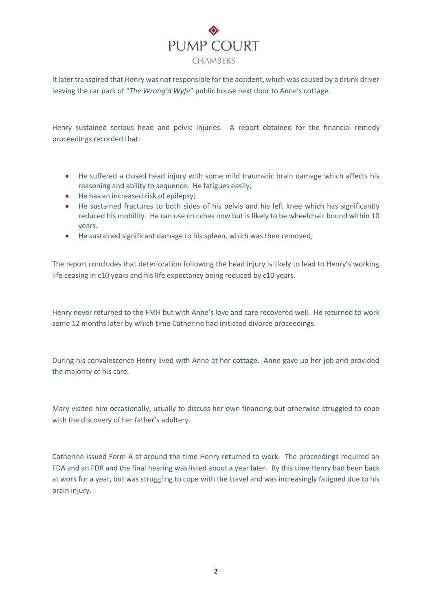## PUMP COURT **CHAMBERS**

It later transpired that Henry was not responsible for the accident, which was caused by a drunk driver leaving the car park of "*The Wrong'd Wyfe*" public house next door to Anne's cottage.

Henry sustained serious head and pelvic injuries. A report obtained for the financial remedy proceedings recorded that:

- He suffered a closed head injury with some mild traumatic brain damage which affects his reasoning and ability to sequence. He fatigues easily;
- He has an increased risk of epilepsy;
- He sustained fractures to both sides of his pelvis and his left knee which has significantly reduced his mobility. He can use crutches now but is likely to be wheelchair bound within 10 years.
- He sustained significant damage to his spleen, which was then removed;

The report concludes that deterioration following the head injury is likely to lead to Henry's working life ceasing in c10 years and his life expectancy being reduced by c10 years.

Henry never returned to the FMH but with Anne's love and care recovered well. He returned to work some 12 months later by which time Catherine had initiated divorce proceedings.

During his convalescence Henry lived with Anne at her cottage. Anne gave up her job and provided the majority of his care.

Mary visited him occasionally, usually to discuss her own financing but otherwise struggled to cope with the discovery of her father's adultery.

Catherine issued Form A at around the time Henry returned to work. The proceedings required an FDA and an FDR and the final hearing was listed about a year later. By this time Henry had been back at work for a year, but was struggling to cope with the travel and was increasingly fatigued due to his brain injury.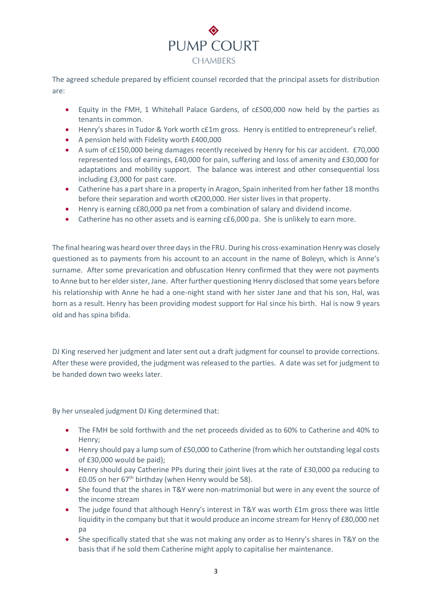

The agreed schedule prepared by efficient counsel recorded that the principal assets for distribution are:

- Equity in the FMH, 1 Whitehall Palace Gardens, of c£500,000 now held by the parties as tenants in common.
- Henry's shares in Tudor & York worth c£1m gross. Henry is entitled to entrepreneur's relief.
- A pension held with Fidelity worth £400,000
- A sum of c£150,000 being damages recently received by Henry for his car accident. £70,000 represented loss of earnings, £40,000 for pain, suffering and loss of amenity and £30,000 for adaptations and mobility support. The balance was interest and other consequential loss including £3,000 for past care.
- Catherine has a part share in a property in Aragon, Spain inherited from her father 18 months before their separation and worth c€200,000. Her sister lives in that property.
- Henry is earning c£80,000 pa net from a combination of salary and dividend income.
- Catherine has no other assets and is earning c£6,000 pa. She is unlikely to earn more.

The final hearing was heard over three days in the FRU. During his cross-examination Henry was closely questioned as to payments from his account to an account in the name of Boleyn, which is Anne's surname. After some prevarication and obfuscation Henry confirmed that they were not payments to Anne but to her elder sister, Jane. After further questioning Henry disclosed that some years before his relationship with Anne he had a one-night stand with her sister Jane and that his son, Hal, was born as a result. Henry has been providing modest support for Hal since his birth. Hal is now 9 years old and has spina bifida.

DJ King reserved her judgment and later sent out a draft judgment for counsel to provide corrections. After these were provided, the judgment was released to the parties. A date was set for judgment to be handed down two weeks later.

By her unsealed judgment DJ King determined that:

- The FMH be sold forthwith and the net proceeds divided as to 60% to Catherine and 40% to Henry;
- Henry should pay a lump sum of £50,000 to Catherine (from which her outstanding legal costs of £30,000 would be paid);
- Henry should pay Catherine PPs during their joint lives at the rate of £30,000 pa reducing to £0.05 on her  $67<sup>th</sup>$  birthday (when Henry would be 58).
- She found that the shares in T&Y were non-matrimonial but were in any event the source of the income stream
- The judge found that although Henry's interest in T&Y was worth £1m gross there was little liquidity in the company but that it would produce an income stream for Henry of £80,000 net  $pa$
- She specifically stated that she was not making any order as to Henry's shares in T&Y on the basis that if he sold them Catherine might apply to capitalise her maintenance.